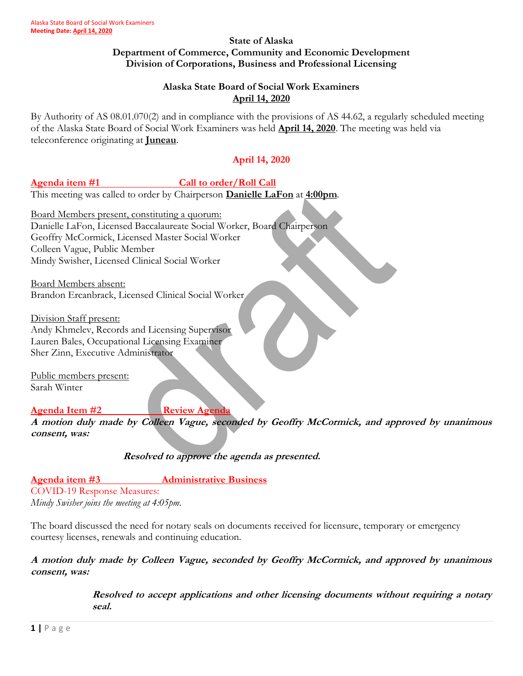#### **State of Alaska Department of Commerce, Community and Economic Development Division of Corporations, Business and Professional Licensing**

## **Alaska State Board of Social Work Examiners April 14, 2020**

By Authority of AS 08.01.070(2) and in compliance with the provisions of AS 44.62, a regularly scheduled meeting of the Alaska State Board of Social Work Examiners was held **April 14, 2020**. The meeting was held via teleconference originating at **Juneau**.

# **April 14, 2020**

## Agenda item #1 Call to order/Roll Call

This meeting was called to order by Chairperson **Danielle LaFon** at **4:00pm**.

Board Members present, constituting a quorum: Danielle LaFon, Licensed Baccalaureate Social Worker, Board Chairperson Geoffry McCormick, Licensed Master Social Worker Colleen Vague, Public Member Mindy Swisher, Licensed Clinical Social Worker

Board Members absent: Brandon Ercanbrack, Licensed Clinical Social Worker

Division Staff present: Andy Khmelev, Records and Licensing Supervisor Lauren Bales, Occupational Licensing Examiner Sher Zinn, Executive Administrator

Public members present: Sarah Winter

### **Agenda Item #2 Review Agenda**

**A motion duly made by Colleen Vague, seconded by Geoffry McCormick, and approved by unanimous consent, was:**

**Resolved to approve the agenda as presented.** 

**Agenda item #3 Administrative Business** COVID-19 Response Measures: *Mindy Swisher joins the meeting at 4:05pm.* 

The board discussed the need for notary seals on documents received for licensure, temporary or emergency courtesy licenses, renewals and continuing education.

**A motion duly made by Colleen Vague, seconded by Geoffry McCormick, and approved by unanimous consent, was:**

> **Resolved to accept applications and other licensing documents without requiring a notary seal.**